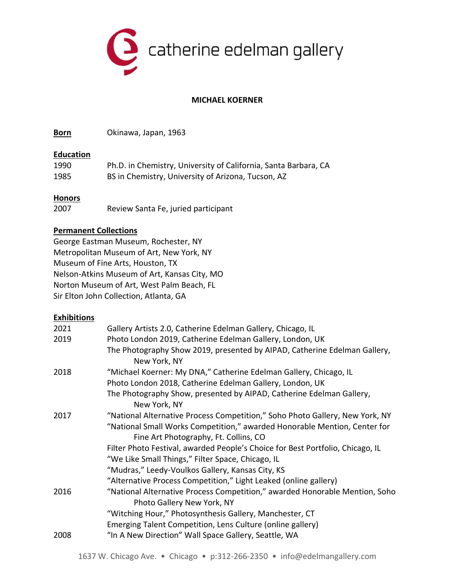

# **MICHAEL KOERNER**

**Born** Okinawa, Japan, 1963

#### **Education**

| 1990 | Ph.D. in Chemistry, University of California, Santa Barbara, CA |
|------|-----------------------------------------------------------------|
| 1985 | BS in Chemistry, University of Arizona, Tucson, AZ              |

## **Honors**

| 2007 |  | Review Santa Fe, juried participant |
|------|--|-------------------------------------|
|      |  |                                     |

## **Permanent Collections**

George Eastman Museum, Rochester, NY Metropolitan Museum of Art, New York, NY Museum of Fine Arts, Houston, TX Nelson-Atkins Museum of Art, Kansas City, MO Norton Museum of Art, West Palm Beach, FL Sir Elton John Collection, Atlanta, GA

## **Exhibitions**

| Gallery Artists 2.0, Catherine Edelman Gallery, Chicago, IL                                                        |
|--------------------------------------------------------------------------------------------------------------------|
| Photo London 2019, Catherine Edelman Gallery, London, UK                                                           |
| The Photography Show 2019, presented by AIPAD, Catherine Edelman Gallery,<br>New York, NY                          |
| "Michael Koerner: My DNA," Catherine Edelman Gallery, Chicago, IL                                                  |
| Photo London 2018, Catherine Edelman Gallery, London, UK                                                           |
| The Photography Show, presented by AIPAD, Catherine Edelman Gallery,<br>New York, NY                               |
| "National Alternative Process Competition," Soho Photo Gallery, New York, NY                                       |
| "National Small Works Competition," awarded Honorable Mention, Center for<br>Fine Art Photography, Ft. Collins, CO |
| Filter Photo Festival, awarded People's Choice for Best Portfolio, Chicago, IL                                     |
| "We Like Small Things," Filter Space, Chicago, IL                                                                  |
| "Mudras," Leedy-Voulkos Gallery, Kansas City, KS                                                                   |
| "Alternative Process Competition," Light Leaked (online gallery)                                                   |
| "National Alternative Process Competition," awarded Honorable Mention, Soho<br>Photo Gallery New York, NY          |
| "Witching Hour," Photosynthesis Gallery, Manchester, CT                                                            |
| Emerging Talent Competition, Lens Culture (online gallery)                                                         |
| "In A New Direction" Wall Space Gallery, Seattle, WA                                                               |
|                                                                                                                    |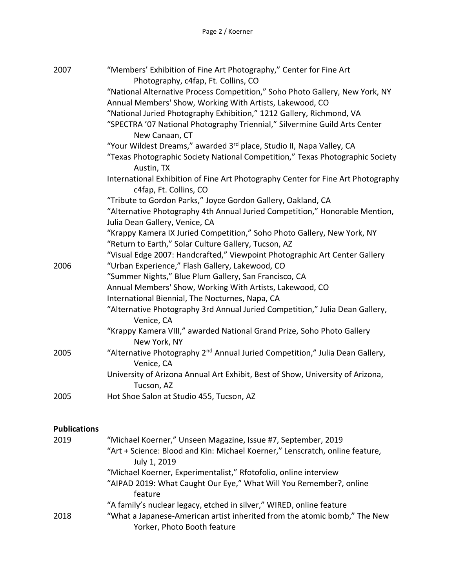| 2007                | "Members' Exhibition of Fine Art Photography," Center for Fine Art<br>Photography, c4fap, Ft. Collins, CO                     |
|---------------------|-------------------------------------------------------------------------------------------------------------------------------|
|                     | "National Alternative Process Competition," Soho Photo Gallery, New York, NY                                                  |
|                     | Annual Members' Show, Working With Artists, Lakewood, CO                                                                      |
|                     | "National Juried Photography Exhibition," 1212 Gallery, Richmond, VA                                                          |
|                     | "SPECTRA '07 National Photography Triennial," Silvermine Guild Arts Center                                                    |
|                     | New Canaan, CT                                                                                                                |
|                     | "Your Wildest Dreams," awarded 3rd place, Studio II, Napa Valley, CA                                                          |
|                     | "Texas Photographic Society National Competition," Texas Photographic Society<br>Austin, TX                                   |
|                     | International Exhibition of Fine Art Photography Center for Fine Art Photography<br>c4fap, Ft. Collins, CO                    |
|                     | "Tribute to Gordon Parks," Joyce Gordon Gallery, Oakland, CA                                                                  |
|                     | "Alternative Photography 4th Annual Juried Competition," Honorable Mention,                                                   |
|                     | Julia Dean Gallery, Venice, CA                                                                                                |
|                     | "Krappy Kamera IX Juried Competition," Soho Photo Gallery, New York, NY                                                       |
|                     | "Return to Earth," Solar Culture Gallery, Tucson, AZ                                                                          |
|                     | "Visual Edge 2007: Handcrafted," Viewpoint Photographic Art Center Gallery<br>"Urban Experience," Flash Gallery, Lakewood, CO |
| 2006                |                                                                                                                               |
|                     | "Summer Nights," Blue Plum Gallery, San Francisco, CA                                                                         |
|                     | Annual Members' Show, Working With Artists, Lakewood, CO<br>International Biennial, The Nocturnes, Napa, CA                   |
|                     | "Alternative Photography 3rd Annual Juried Competition," Julia Dean Gallery,<br>Venice, CA                                    |
|                     | "Krappy Kamera VIII," awarded National Grand Prize, Soho Photo Gallery                                                        |
|                     | New York, NY                                                                                                                  |
| 2005                | "Alternative Photography 2 <sup>nd</sup> Annual Juried Competition," Julia Dean Gallery,<br>Venice, CA                        |
|                     | University of Arizona Annual Art Exhibit, Best of Show, University of Arizona,<br>Tucson, AZ                                  |
| 2005                | Hot Shoe Salon at Studio 455, Tucson, AZ                                                                                      |
|                     |                                                                                                                               |
| <b>Publications</b> |                                                                                                                               |
| 2019                | "Michael Koerner," Unseen Magazine, Issue #7, September, 2019                                                                 |
|                     | "Art + Science: Blood and Kin: Michael Koerner," Lenscratch, online feature,<br>July 1, 2019                                  |
|                     |                                                                                                                               |

"Michael Koerner, Experimentalist," Rfotofolio, online interview "AIPAD 2019: What Caught Our Eye," What Will You Remember?, online feature

"A family's nuclear legacy, etched in silver," WIRED, online feature

2018 "What a Japanese-American artist inherited from the atomic bomb," The New Yorker, Photo Booth feature